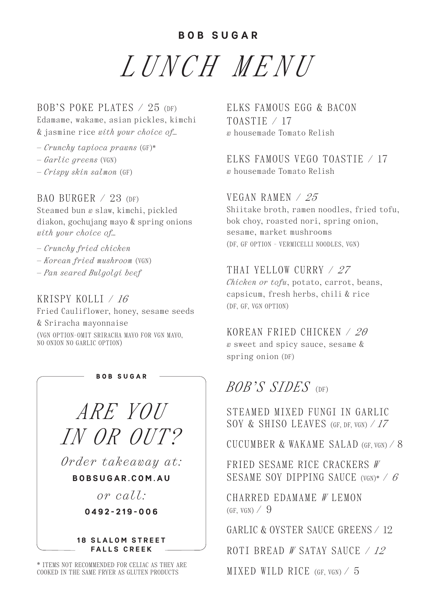**BOB SUGAR**

*LUNCH MENU*

BOB'S POKE PLATES  $\angle$  25 (DF) Edamame, wakame, asian pickles, kimchi & jasmine rice *with your choice of…* 

- *Crunchy tapioca prawns* (GF)\*
- *Garlic greens* (VGN)
- *Crispy skin salmon* (GF)

## BAO BURGER  $/23$  (DF)

Steamed bun *w* slaw, kimchi, pickled diakon, gochujang mayo & spring onions *with your choice of…*

- *Crunchy fried chicken*
- *Korean fried mushroom* (VGN)
- *Pan seared Bulgolgi beef*

#### KRISPY KOLLI / *16*

Fried Cauliflower, honey, sesame seeds

& Sriracha mayonnaise (VGN OPTION-OMIT SRIRACHA MAYO FOR VGN MAYO, NO ONION NO GARLIC OPTION)

> *ARE YOU IN OR OUT?*

**BOB SUGAR** 

*Order takeaway at:* 

**B O B S U G A R . C O M . A U** 

*or call:* 

**0492-219-006**

#### **18 SLALOM STREET FALLS CREEK**

\* ITEMS NOT RECOMMENDED FOR CELIAC AS THEY ARE COOKED IN THE SAME FRYER AS GLUTEN PRODUCTS

ELKS FAMOUS EGG & BACON TOASTIE / 17 *w* housemade Tomato Relish

ELKS FAMOUS VEGO TOASTIE  $\neq$  17 *w* housemade Tomato Relish

# VEGAN RAMEN / *25*

Shiitake broth, ramen noodles, fried tofu, bok choy, roasted nori, spring onion, sesame, market mushrooms (DF, GF OPTION - VERMICELLI NOODLES, VGN)

# THAI YELLOW CURRY / *27*

*Chicken or tofu*, potato, carrot, beans, capsicum, fresh herbs, chili & rice (DF, GF, VGN OPTION)

## KOREAN FRIED CHICKEN / *20*

*w* sweet and spicy sauce, sesame & spring onion (DF)

# *BOB'S SIDES* (DF)

STEAMED MIXED FUNGI IN GARLIC SOY & SHISO LEAVES (GF, DF, VGN) / *17*

CUCUMBER & WAKAME SALAD  $(GF, VGN)$  / 8

FRIED SESAME RICE CRACKERS *W* SESAME SOY DIPPING SAUCE (VGN)\* / *6*

CHARRED EDAMAME *W* LEMON  $(GF, VGN)$  / 9

GARLIC & OVSTER SAUCE GREENS / 12

ROTI BREAD *W* SATAY SAUCE / *12*

MIXED WILD RICE (GF, VGN) / 5